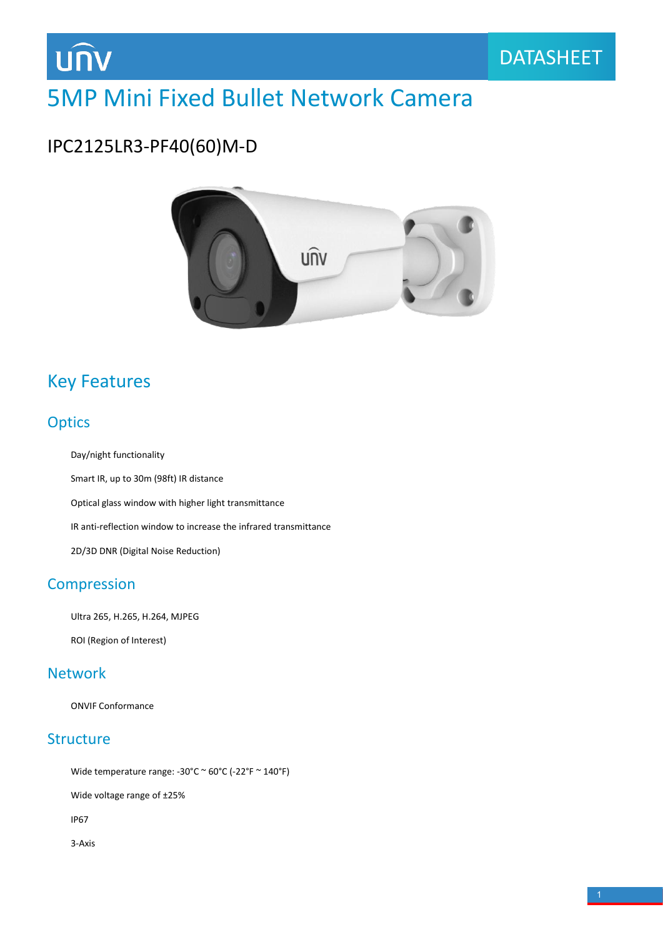

# 5MP Mini Fixed Bullet Network Camera

## IPC2125LR3-PF40(60)M-D



## Key Features

#### **Optics**

Day/night functionality

Smart IR, up to 30m (98ft) IR distance Optical glass window with higher light transmittance

IR anti-reflection window to increase the infrared transmittance

2D/3D DNR (Digital Noise Reduction)

#### **Compression**

Ultra 265, H.265, H.264, MJPEG

ROI (Region of Interest)

#### Network

ONVIF Conformance

#### **Structure**

Wide temperature range: -30°C  $\sim$  60°C (-22°F  $\sim$  140°F)

Wide voltage range of ±25%

IP67

3-Axis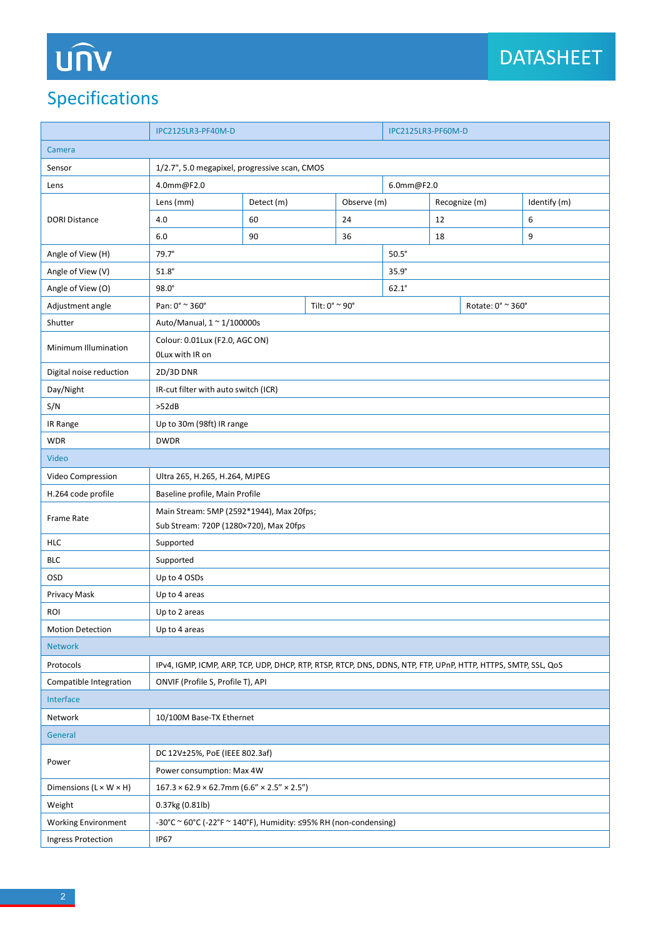# UN

## Specifications

|                                    | IPC2125LR3-PF40M-D                                                                                             |            |  |             | IPC2125LR3-PF60M-D |               |  |              |  |
|------------------------------------|----------------------------------------------------------------------------------------------------------------|------------|--|-------------|--------------------|---------------|--|--------------|--|
| Camera                             |                                                                                                                |            |  |             |                    |               |  |              |  |
| Sensor                             | 1/2.7", 5.0 megapixel, progressive scan, CMOS                                                                  |            |  |             |                    |               |  |              |  |
| Lens                               | 4.0mm@F2.0<br>6.0mm@F2.0                                                                                       |            |  |             |                    |               |  |              |  |
| <b>DORI Distance</b>               | Lens (mm)                                                                                                      | Detect (m) |  | Observe (m) |                    | Recognize (m) |  | Identify (m) |  |
|                                    | 4.0                                                                                                            | 60         |  | 24          |                    | 12            |  | 6            |  |
|                                    | 6.0                                                                                                            | 90         |  | 36          |                    | 18            |  | 9            |  |
| Angle of View (H)                  | $79.7^\circ$<br>$50.5^\circ$                                                                                   |            |  |             |                    |               |  |              |  |
| Angle of View (V)                  | $51.8^\circ$                                                                                                   |            |  |             |                    | $35.9^\circ$  |  |              |  |
| Angle of View (O)                  | $98.0^\circ$                                                                                                   |            |  |             | $62.1^\circ$       |               |  |              |  |
| Adjustment angle                   | Pan: $0^\circ$ $\approx$ 360 $^\circ$<br>Tilt: $0^{\circ}$ ~ 90°                                               |            |  |             | Rotate: 0° ~ 360°  |               |  |              |  |
| Shutter                            | Auto/Manual, 1 ~ 1/100000s                                                                                     |            |  |             |                    |               |  |              |  |
| Minimum Illumination               | Colour: 0.01Lux (F2.0, AGC ON)<br>OLux with IR on                                                              |            |  |             |                    |               |  |              |  |
| Digital noise reduction            | 2D/3D DNR                                                                                                      |            |  |             |                    |               |  |              |  |
| Day/Night                          | IR-cut filter with auto switch (ICR)                                                                           |            |  |             |                    |               |  |              |  |
| S/N                                | >52dB                                                                                                          |            |  |             |                    |               |  |              |  |
| IR Range                           | Up to 30m (98ft) IR range                                                                                      |            |  |             |                    |               |  |              |  |
| <b>WDR</b>                         | <b>DWDR</b>                                                                                                    |            |  |             |                    |               |  |              |  |
| Video                              |                                                                                                                |            |  |             |                    |               |  |              |  |
| Video Compression                  | Ultra 265, H.265, H.264, MJPEG                                                                                 |            |  |             |                    |               |  |              |  |
| H.264 code profile                 | Baseline profile, Main Profile                                                                                 |            |  |             |                    |               |  |              |  |
| Frame Rate                         | Main Stream: 5MP (2592*1944), Max 20fps;<br>Sub Stream: 720P (1280×720), Max 20fps                             |            |  |             |                    |               |  |              |  |
| <b>HLC</b>                         | Supported                                                                                                      |            |  |             |                    |               |  |              |  |
| <b>BLC</b>                         | Supported                                                                                                      |            |  |             |                    |               |  |              |  |
| OSD                                | Up to 4 OSDs                                                                                                   |            |  |             |                    |               |  |              |  |
| Privacy Mask                       | Up to 4 areas                                                                                                  |            |  |             |                    |               |  |              |  |
| <b>ROI</b>                         | Up to 2 areas                                                                                                  |            |  |             |                    |               |  |              |  |
| <b>Motion Detection</b>            | Up to 4 areas                                                                                                  |            |  |             |                    |               |  |              |  |
| <b>Network</b>                     |                                                                                                                |            |  |             |                    |               |  |              |  |
| Protocols                          | IPv4, IGMP, ICMP, ARP, TCP, UDP, DHCP, RTP, RTSP, RTCP, DNS, DDNS, NTP, FTP, UPnP, HTTP, HTTPS, SMTP, SSL, QoS |            |  |             |                    |               |  |              |  |
| Compatible Integration             | ONVIF (Profile S, Profile T), API                                                                              |            |  |             |                    |               |  |              |  |
| Interface                          |                                                                                                                |            |  |             |                    |               |  |              |  |
| Network                            | 10/100M Base-TX Ethernet                                                                                       |            |  |             |                    |               |  |              |  |
| General                            |                                                                                                                |            |  |             |                    |               |  |              |  |
| Power                              | DC 12V±25%, PoE (IEEE 802.3af)                                                                                 |            |  |             |                    |               |  |              |  |
|                                    | Power consumption: Max 4W                                                                                      |            |  |             |                    |               |  |              |  |
| Dimensions $(L \times W \times H)$ | $167.3 \times 62.9 \times 62.7$ mm (6.6" × 2.5" × 2.5")                                                        |            |  |             |                    |               |  |              |  |
| Weight                             | 0.37kg (0.81lb)                                                                                                |            |  |             |                    |               |  |              |  |
| <b>Working Environment</b>         | -30°C ~ 60°C (-22°F ~ 140°F), Humidity: ≤95% RH (non-condensing)                                               |            |  |             |                    |               |  |              |  |
| <b>Ingress Protection</b>          | <b>IP67</b>                                                                                                    |            |  |             |                    |               |  |              |  |